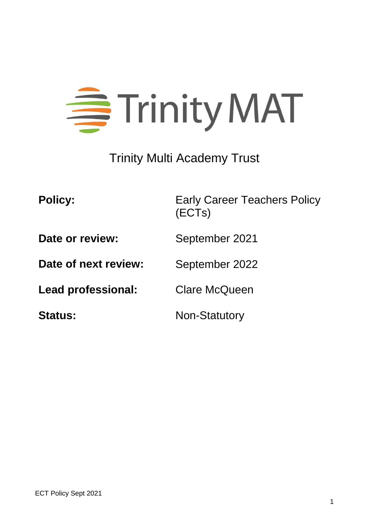

# Trinity Multi Academy Trust

| <b>Policy:</b>            | <b>Early Career Teachers Policy</b><br>(ECTs) |
|---------------------------|-----------------------------------------------|
| Date or review:           | September 2021                                |
| Date of next review:      | September 2022                                |
| <b>Lead professional:</b> | <b>Clare McQueen</b>                          |
| <b>Status:</b>            | <b>Non-Statutory</b>                          |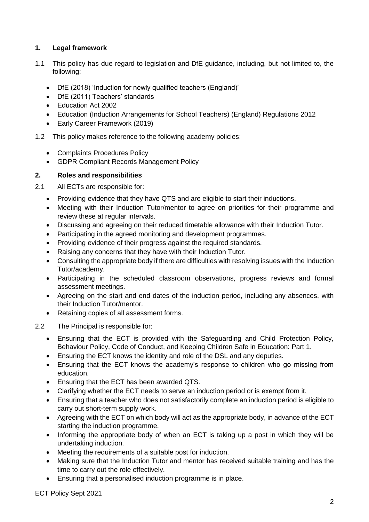# **1. Legal framework**

- 1.1 This policy has due regard to legislation and DfE guidance, including, but not limited to, the following:
	- DfE (2018) 'Induction for newly qualified teachers (England)'
	- DfE (2011) Teachers' standards
	- Education Act 2002
	- Education (Induction Arrangements for School Teachers) (England) Regulations 2012
	- Early Career Framework (2019)
- 1.2 This policy makes reference to the following academy policies:
	- Complaints Procedures Policy
	- GDPR Compliant Records Management Policy

## **2. Roles and responsibilities**

2.1 All ECTs are responsible for:

- Providing evidence that they have QTS and are eligible to start their inductions.
- Meeting with their Induction Tutor/mentor to agree on priorities for their programme and review these at regular intervals.
- Discussing and agreeing on their reduced timetable allowance with their Induction Tutor.
- Participating in the agreed monitoring and development programmes.
- Providing evidence of their progress against the required standards.
- Raising any concerns that they have with their Induction Tutor.
- Consulting the appropriate body if there are difficulties with resolving issues with the Induction Tutor/academy.
- Participating in the scheduled classroom observations, progress reviews and formal assessment meetings.
- Agreeing on the start and end dates of the induction period, including any absences, with their Induction Tutor/mentor.
- Retaining copies of all assessment forms.
- 2.2 The Principal is responsible for:
	- Ensuring that the ECT is provided with the Safeguarding and Child Protection Policy, Behaviour Policy, Code of Conduct, and Keeping Children Safe in Education: Part 1.
	- Ensuring the ECT knows the identity and role of the DSL and any deputies.
	- Ensuring that the ECT knows the academy's response to children who go missing from education.
	- Ensuring that the ECT has been awarded QTS.
	- Clarifying whether the ECT needs to serve an induction period or is exempt from it.
	- Ensuring that a teacher who does not satisfactorily complete an induction period is eligible to carry out short-term supply work.
	- Agreeing with the ECT on which body will act as the appropriate body, in advance of the ECT starting the induction programme.
	- Informing the appropriate body of when an ECT is taking up a post in which they will be undertaking induction.
	- Meeting the requirements of a suitable post for induction.
	- Making sure that the Induction Tutor and mentor has received suitable training and has the time to carry out the role effectively.
	- Ensuring that a personalised induction programme is in place.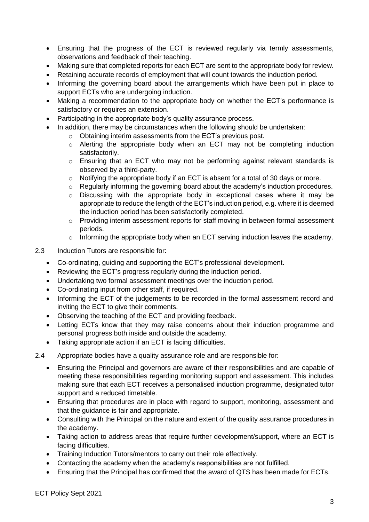- Ensuring that the progress of the ECT is reviewed regularly via termly assessments, observations and feedback of their teaching.
- Making sure that completed reports for each ECT are sent to the appropriate body for review.
- Retaining accurate records of employment that will count towards the induction period.
- Informing the governing board about the arrangements which have been put in place to support ECTs who are undergoing induction.
- Making a recommendation to the appropriate body on whether the ECT's performance is satisfactory or requires an extension.
- Participating in the appropriate body's quality assurance process.
- In addition, there may be circumstances when the following should be undertaken:
	- o Obtaining interim assessments from the ECT's previous post.
	- o Alerting the appropriate body when an ECT may not be completing induction satisfactorily.
	- o Ensuring that an ECT who may not be performing against relevant standards is observed by a third-party.
	- o Notifying the appropriate body if an ECT is absent for a total of 30 days or more.
	- o Regularly informing the governing board about the academy's induction procedures.
	- o Discussing with the appropriate body in exceptional cases where it may be appropriate to reduce the length of the ECT's induction period, e.g. where it is deemed the induction period has been satisfactorily completed.
	- o Providing interim assessment reports for staff moving in between formal assessment periods.
	- o Informing the appropriate body when an ECT serving induction leaves the academy.
- 2.3 Induction Tutors are responsible for:
	- Co-ordinating, guiding and supporting the ECT's professional development.
	- Reviewing the ECT's progress regularly during the induction period.
	- Undertaking two formal assessment meetings over the induction period.
	- Co-ordinating input from other staff, if required.
	- Informing the ECT of the judgements to be recorded in the formal assessment record and inviting the ECT to give their comments.
	- Observing the teaching of the ECT and providing feedback.
	- Letting ECTs know that they may raise concerns about their induction programme and personal progress both inside and outside the academy.
	- Taking appropriate action if an ECT is facing difficulties.

#### 2.4 Appropriate bodies have a quality assurance role and are responsible for:

- Ensuring the Principal and governors are aware of their responsibilities and are capable of meeting these responsibilities regarding monitoring support and assessment. This includes making sure that each ECT receives a personalised induction programme, designated tutor support and a reduced timetable.
- Ensuring that procedures are in place with regard to support, monitoring, assessment and that the guidance is fair and appropriate.
- Consulting with the Principal on the nature and extent of the quality assurance procedures in the academy.
- Taking action to address areas that require further development/support, where an ECT is facing difficulties.
- Training Induction Tutors/mentors to carry out their role effectively.
- Contacting the academy when the academy's responsibilities are not fulfilled.
- Ensuring that the Principal has confirmed that the award of QTS has been made for ECTs.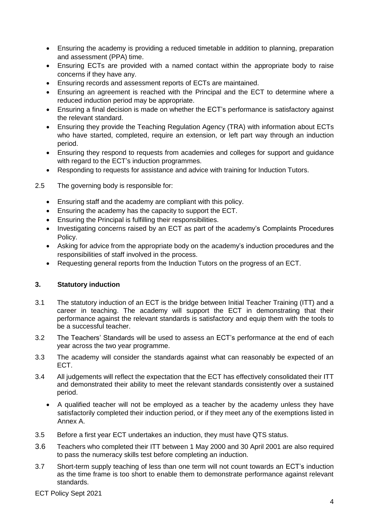- Ensuring the academy is providing a reduced timetable in addition to planning, preparation and assessment (PPA) time.
- Ensuring ECTs are provided with a named contact within the appropriate body to raise concerns if they have any.
- Ensuring records and assessment reports of ECTs are maintained.
- Ensuring an agreement is reached with the Principal and the ECT to determine where a reduced induction period may be appropriate.
- Ensuring a final decision is made on whether the ECT's performance is satisfactory against the relevant standard.
- Ensuring they provide the Teaching Regulation Agency (TRA) with information about ECTs who have started, completed, require an extension, or left part way through an induction period.
- Ensuring they respond to requests from academies and colleges for support and guidance with regard to the ECT's induction programmes.
- Responding to requests for assistance and advice with training for Induction Tutors.
- 2.5 The governing body is responsible for:
	- Ensuring staff and the academy are compliant with this policy.
	- Ensuring the academy has the capacity to support the ECT.
	- Ensuring the Principal is fulfilling their responsibilities.
	- Investigating concerns raised by an ECT as part of the academy's Complaints Procedures Policy.
	- Asking for advice from the appropriate body on the academy's induction procedures and the responsibilities of staff involved in the process.
	- Requesting general reports from the Induction Tutors on the progress of an ECT.

# **3. Statutory induction**

- 3.1 The statutory induction of an ECT is the bridge between Initial Teacher Training (ITT) and a career in teaching. The academy will support the ECT in demonstrating that their performance against the relevant standards is satisfactory and equip them with the tools to be a successful teacher.
- 3.2 The Teachers' Standards will be used to assess an ECT's performance at the end of each year across the two year programme.
- 3.3 The academy will consider the standards against what can reasonably be expected of an ECT.
- 3.4 All judgements will reflect the expectation that the ECT has effectively consolidated their ITT and demonstrated their ability to meet the relevant standards consistently over a sustained period.
	- A qualified teacher will not be employed as a teacher by the academy unless they have satisfactorily completed their induction period, or if they meet any of the exemptions listed in Annex A.
- 3.5 Before a first year ECT undertakes an induction, they must have QTS status.
- 3.6 Teachers who completed their ITT between 1 May 2000 and 30 April 2001 are also required to pass the numeracy skills test before completing an induction.
- 3.7 Short-term supply teaching of less than one term will not count towards an ECT's induction as the time frame is too short to enable them to demonstrate performance against relevant standards.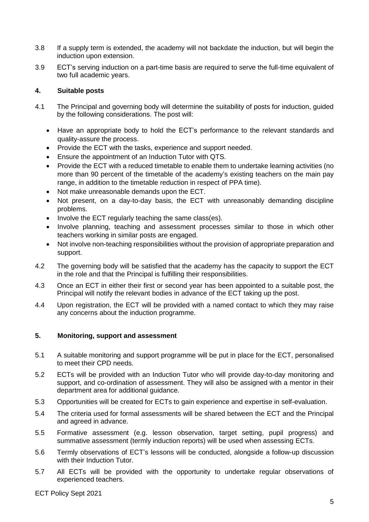- 3.8 If a supply term is extended, the academy will not backdate the induction, but will begin the induction upon extension.
- 3.9 ECT's serving induction on a part-time basis are required to serve the full-time equivalent of two full academic years.

#### **4. Suitable posts**

- 4.1 The Principal and governing body will determine the suitability of posts for induction, guided by the following considerations. The post will:
	- Have an appropriate body to hold the ECT's performance to the relevant standards and quality-assure the process.
	- Provide the ECT with the tasks, experience and support needed.
	- Ensure the appointment of an Induction Tutor with QTS.
	- Provide the ECT with a reduced timetable to enable them to undertake learning activities (no more than 90 percent of the timetable of the academy's existing teachers on the main pay range, in addition to the timetable reduction in respect of PPA time).
	- Not make unreasonable demands upon the ECT.
	- Not present, on a day-to-day basis, the ECT with unreasonably demanding discipline problems.
	- Involve the ECT regularly teaching the same class(es).
	- Involve planning, teaching and assessment processes similar to those in which other teachers working in similar posts are engaged.
	- Not involve non-teaching responsibilities without the provision of appropriate preparation and support.
- 4.2 The governing body will be satisfied that the academy has the capacity to support the ECT in the role and that the Principal is fulfilling their responsibilities.
- 4.3 Once an ECT in either their first or second year has been appointed to a suitable post, the Principal will notify the relevant bodies in advance of the ECT taking up the post.
- 4.4 Upon registration, the ECT will be provided with a named contact to which they may raise any concerns about the induction programme.

## **5. Monitoring, support and assessment**

- 5.1 A suitable monitoring and support programme will be put in place for the ECT, personalised to meet their CPD needs.
- 5.2 ECTs will be provided with an Induction Tutor who will provide day-to-day monitoring and support, and co-ordination of assessment. They will also be assigned with a mentor in their department area for additional guidance.
- 5.3 Opportunities will be created for ECTs to gain experience and expertise in self-evaluation.
- 5.4 The criteria used for formal assessments will be shared between the ECT and the Principal and agreed in advance.
- 5.5 Formative assessment (e.g. lesson observation, target setting, pupil progress) and summative assessment (termly induction reports) will be used when assessing ECTs.
- 5.6 Termly observations of ECT's lessons will be conducted, alongside a follow-up discussion with their Induction Tutor.
- 5.7 All ECTs will be provided with the opportunity to undertake regular observations of experienced teachers.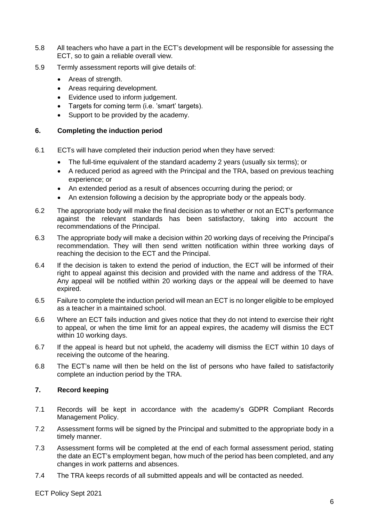- 5.8 All teachers who have a part in the ECT's development will be responsible for assessing the ECT, so to gain a reliable overall view.
- 5.9 Termly assessment reports will give details of:
	- Areas of strength.
	- Areas requiring development.
	- Evidence used to inform judgement.
	- Targets for coming term (i.e. 'smart' targets).
	- Support to be provided by the academy.

#### **6. Completing the induction period**

- 6.1 ECTs will have completed their induction period when they have served:
	- The full-time equivalent of the standard academy 2 years (usually six terms); or
	- A reduced period as agreed with the Principal and the TRA, based on previous teaching experience; or
	- An extended period as a result of absences occurring during the period; or
	- An extension following a decision by the appropriate body or the appeals body.
- 6.2 The appropriate body will make the final decision as to whether or not an ECT's performance against the relevant standards has been satisfactory, taking into account the recommendations of the Principal.
- 6.3 The appropriate body will make a decision within 20 working days of receiving the Principal's recommendation. They will then send written notification within three working days of reaching the decision to the ECT and the Principal.
- 6.4 If the decision is taken to extend the period of induction, the ECT will be informed of their right to appeal against this decision and provided with the name and address of the TRA. Any appeal will be notified within 20 working days or the appeal will be deemed to have expired.
- 6.5 Failure to complete the induction period will mean an ECT is no longer eligible to be employed as a teacher in a maintained school.
- 6.6 Where an ECT fails induction and gives notice that they do not intend to exercise their right to appeal, or when the time limit for an appeal expires, the academy will dismiss the ECT within 10 working days.
- 6.7 If the appeal is heard but not upheld, the academy will dismiss the ECT within 10 days of receiving the outcome of the hearing.
- 6.8 The ECT's name will then be held on the list of persons who have failed to satisfactorily complete an induction period by the TRA.

#### **7. Record keeping**

- 7.1 Records will be kept in accordance with the academy's GDPR Compliant Records Management Policy.
- 7.2 Assessment forms will be signed by the Principal and submitted to the appropriate body in a timely manner.
- 7.3 Assessment forms will be completed at the end of each formal assessment period, stating the date an ECT's employment began, how much of the period has been completed, and any changes in work patterns and absences.
- 7.4 The TRA keeps records of all submitted appeals and will be contacted as needed.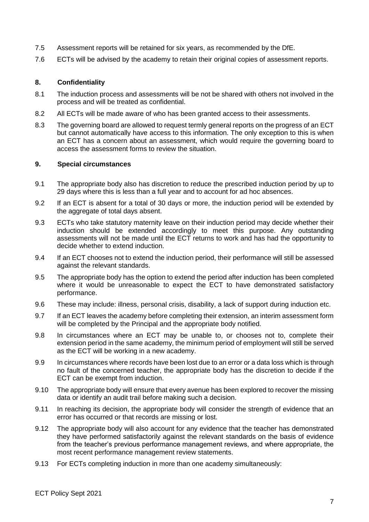- 7.5 Assessment reports will be retained for six years, as recommended by the DfE.
- 7.6 ECTs will be advised by the academy to retain their original copies of assessment reports.

#### **8. Confidentiality**

- 8.1 The induction process and assessments will be not be shared with others not involved in the process and will be treated as confidential.
- 8.2 All ECTs will be made aware of who has been granted access to their assessments.
- 8.3 The governing board are allowed to request termly general reports on the progress of an ECT but cannot automatically have access to this information. The only exception to this is when an ECT has a concern about an assessment, which would require the governing board to access the assessment forms to review the situation.

#### **9. Special circumstances**

- 9.1 The appropriate body also has discretion to reduce the prescribed induction period by up to 29 days where this is less than a full year and to account for ad hoc absences.
- 9.2 If an ECT is absent for a total of 30 days or more, the induction period will be extended by the aggregate of total days absent.
- 9.3 ECTs who take statutory maternity leave on their induction period may decide whether their induction should be extended accordingly to meet this purpose. Any outstanding assessments will not be made until the ECT returns to work and has had the opportunity to decide whether to extend induction.
- 9.4 If an ECT chooses not to extend the induction period, their performance will still be assessed against the relevant standards.
- 9.5 The appropriate body has the option to extend the period after induction has been completed where it would be unreasonable to expect the ECT to have demonstrated satisfactory performance.
- 9.6 These may include: illness, personal crisis, disability, a lack of support during induction etc.
- 9.7 If an ECT leaves the academy before completing their extension, an interim assessment form will be completed by the Principal and the appropriate body notified.
- 9.8 In circumstances where an ECT may be unable to, or chooses not to, complete their extension period in the same academy, the minimum period of employment will still be served as the ECT will be working in a new academy.
- 9.9 In circumstances where records have been lost due to an error or a data loss which is through no fault of the concerned teacher, the appropriate body has the discretion to decide if the ECT can be exempt from induction.
- 9.10 The appropriate body will ensure that every avenue has been explored to recover the missing data or identify an audit trail before making such a decision.
- 9.11 In reaching its decision, the appropriate body will consider the strength of evidence that an error has occurred or that records are missing or lost.
- 9.12 The appropriate body will also account for any evidence that the teacher has demonstrated they have performed satisfactorily against the relevant standards on the basis of evidence from the teacher's previous performance management reviews, and where appropriate, the most recent performance management review statements.
- 9.13 For ECTs completing induction in more than one academy simultaneously: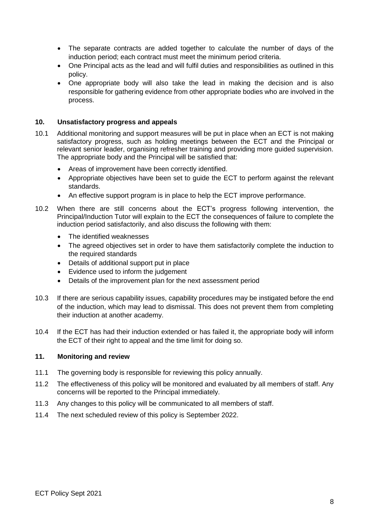- The separate contracts are added together to calculate the number of days of the induction period; each contract must meet the minimum period criteria.
- One Principal acts as the lead and will fulfil duties and responsibilities as outlined in this policy.
- One appropriate body will also take the lead in making the decision and is also responsible for gathering evidence from other appropriate bodies who are involved in the process.

#### **10. Unsatisfactory progress and appeals**

- 10.1 Additional monitoring and support measures will be put in place when an ECT is not making satisfactory progress, such as holding meetings between the ECT and the Principal or relevant senior leader, organising refresher training and providing more guided supervision. The appropriate body and the Principal will be satisfied that:
	- Areas of improvement have been correctly identified.
	- Appropriate objectives have been set to guide the ECT to perform against the relevant standards.
	- An effective support program is in place to help the ECT improve performance.
- 10.2 When there are still concerns about the ECT's progress following intervention, the Principal/Induction Tutor will explain to the ECT the consequences of failure to complete the induction period satisfactorily, and also discuss the following with them:
	- The identified weaknesses
	- The agreed objectives set in order to have them satisfactorily complete the induction to the required standards
	- Details of additional support put in place
	- Evidence used to inform the judgement
	- Details of the improvement plan for the next assessment period
- 10.3 If there are serious capability issues, capability procedures may be instigated before the end of the induction, which may lead to dismissal. This does not prevent them from completing their induction at another academy.
- 10.4 If the ECT has had their induction extended or has failed it, the appropriate body will inform the ECT of their right to appeal and the time limit for doing so.

#### **11. Monitoring and review**

- 11.1 The governing body is responsible for reviewing this policy annually.
- 11.2 The effectiveness of this policy will be monitored and evaluated by all members of staff. Any concerns will be reported to the Principal immediately.
- 11.3 Any changes to this policy will be communicated to all members of staff.
- 11.4 The next scheduled review of this policy is September 2022.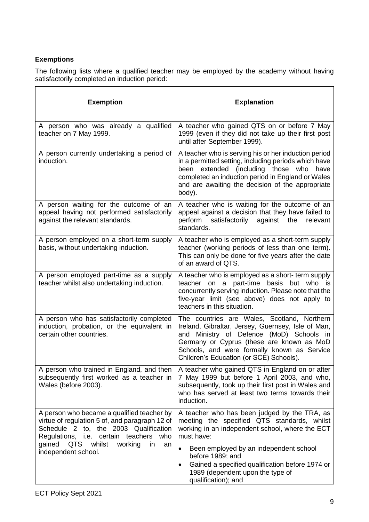# **Exemptions**

The following lists where a qualified teacher may be employed by the academy without having satisfactorily completed an induction period:

| <b>Exemption</b>                                                                                                                                                                                                                                       | <b>Explanation</b>                                                                                                                                                                                                                                                                      |
|--------------------------------------------------------------------------------------------------------------------------------------------------------------------------------------------------------------------------------------------------------|-----------------------------------------------------------------------------------------------------------------------------------------------------------------------------------------------------------------------------------------------------------------------------------------|
| A person who was already a qualified<br>teacher on 7 May 1999.                                                                                                                                                                                         | A teacher who gained QTS on or before 7 May<br>1999 (even if they did not take up their first post<br>until after September 1999).                                                                                                                                                      |
| A person currently undertaking a period of<br>induction.                                                                                                                                                                                               | A teacher who is serving his or her induction period<br>in a permitted setting, including periods which have<br>extended (including those who<br>been<br>have<br>completed an induction period in England or Wales<br>and are awaiting the decision of the appropriate<br>body).        |
| A person waiting for the outcome of an<br>appeal having not performed satisfactorily<br>against the relevant standards.                                                                                                                                | A teacher who is waiting for the outcome of an<br>appeal against a decision that they have failed to<br>perform satisfactorily<br>against the<br>relevant<br>standards.                                                                                                                 |
| A person employed on a short-term supply<br>basis, without undertaking induction.                                                                                                                                                                      | A teacher who is employed as a short-term supply<br>teacher (working periods of less than one term).<br>This can only be done for five years after the date<br>of an award of QTS.                                                                                                      |
| A person employed part-time as a supply<br>teacher whilst also undertaking induction.                                                                                                                                                                  | A teacher who is employed as a short- term supply<br>teacher on a part-time basis but who is<br>concurrently serving induction. Please note that the<br>five-year limit (see above) does not apply to<br>teachers in this situation.                                                    |
| A person who has satisfactorily completed<br>induction, probation, or the equivalent in<br>certain other countries.                                                                                                                                    | The countries are Wales, Scotland, Northern<br>Ireland, Gibraltar, Jersey, Guernsey, Isle of Man,<br>Ministry of Defence (MoD) Schools in<br>and<br>Germany or Cyprus (these are known as MoD<br>Schools, and were formally known as Service<br>Children's Education (or SCE) Schools). |
| A person who trained in England, and then<br>subsequently first worked as a teacher in<br>Wales (before 2003).                                                                                                                                         | A teacher who gained QTS in England on or after<br>7 May 1999 but before 1 April 2003, and who,<br>subsequently, took up their first post in Wales and<br>who has served at least two terms towards their<br>induction.                                                                 |
| A person who became a qualified teacher by<br>virtue of regulation 5 of, and paragraph 12 of<br>Schedule 2 to, the 2003 Qualification<br>Regulations, i.e. certain teachers<br>who<br>gained QTS whilst<br>working<br>in.<br>an<br>independent school. | A teacher who has been judged by the TRA, as<br>meeting the specified QTS standards, whilst<br>working in an independent school, where the ECT<br>must have:<br>Been employed by an independent school<br>before 1989; and<br>Gained a specified qualification before 1974 or<br>٠      |
|                                                                                                                                                                                                                                                        | 1989 (dependent upon the type of<br>qualification); and                                                                                                                                                                                                                                 |